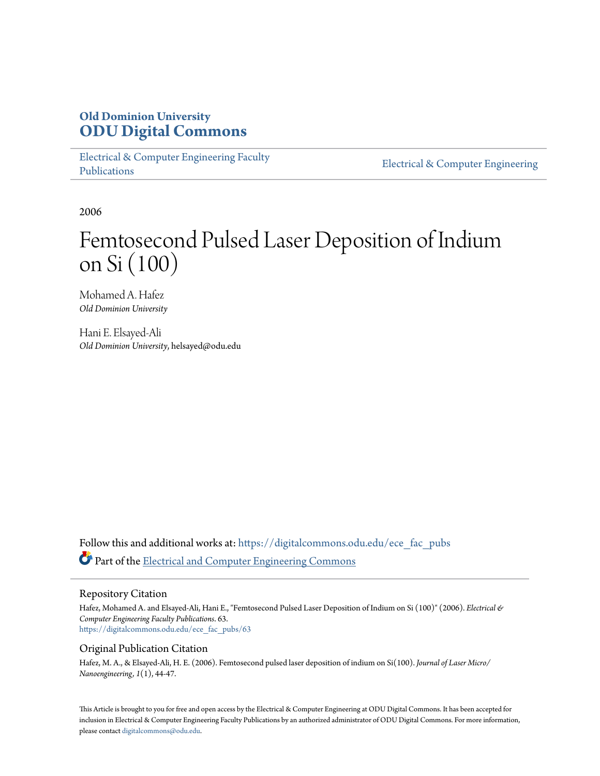# **Old Dominion University [ODU Digital Commons](https://digitalcommons.odu.edu?utm_source=digitalcommons.odu.edu%2Fece_fac_pubs%2F63&utm_medium=PDF&utm_campaign=PDFCoverPages)**

[Electrical & Computer Engineering Faculty](https://digitalcommons.odu.edu/ece_fac_pubs?utm_source=digitalcommons.odu.edu%2Fece_fac_pubs%2F63&utm_medium=PDF&utm_campaign=PDFCoverPages) [Publications](https://digitalcommons.odu.edu/ece_fac_pubs?utm_source=digitalcommons.odu.edu%2Fece_fac_pubs%2F63&utm_medium=PDF&utm_campaign=PDFCoverPages)

[Electrical & Computer Engineering](https://digitalcommons.odu.edu/ece?utm_source=digitalcommons.odu.edu%2Fece_fac_pubs%2F63&utm_medium=PDF&utm_campaign=PDFCoverPages)

2006

# Femtosecond Pulsed Laser Deposition of Indium on Si (100)

Mohamed A. Hafez *Old Dominion University*

Hani E. Elsayed-Ali *Old Dominion University*, helsayed@odu.edu

Follow this and additional works at: [https://digitalcommons.odu.edu/ece\\_fac\\_pubs](https://digitalcommons.odu.edu/ece_fac_pubs?utm_source=digitalcommons.odu.edu%2Fece_fac_pubs%2F63&utm_medium=PDF&utm_campaign=PDFCoverPages) Part of the [Electrical and Computer Engineering Commons](http://network.bepress.com/hgg/discipline/266?utm_source=digitalcommons.odu.edu%2Fece_fac_pubs%2F63&utm_medium=PDF&utm_campaign=PDFCoverPages)

### Repository Citation

Hafez, Mohamed A. and Elsayed-Ali, Hani E., "Femtosecond Pulsed Laser Deposition of Indium on Si (100)" (2006). *Electrical & Computer Engineering Faculty Publications*. 63. [https://digitalcommons.odu.edu/ece\\_fac\\_pubs/63](https://digitalcommons.odu.edu/ece_fac_pubs/63?utm_source=digitalcommons.odu.edu%2Fece_fac_pubs%2F63&utm_medium=PDF&utm_campaign=PDFCoverPages)

## Original Publication Citation

Hafez, M. A., & Elsayed-Ali, H. E. (2006). Femtosecond pulsed laser deposition of indium on Si(100). *Journal of Laser Micro/ Nanoengineering, 1*(1), 44-47.

This Article is brought to you for free and open access by the Electrical & Computer Engineering at ODU Digital Commons. It has been accepted for inclusion in Electrical & Computer Engineering Faculty Publications by an authorized administrator of ODU Digital Commons. For more information, please contact [digitalcommons@odu.edu](mailto:digitalcommons@odu.edu).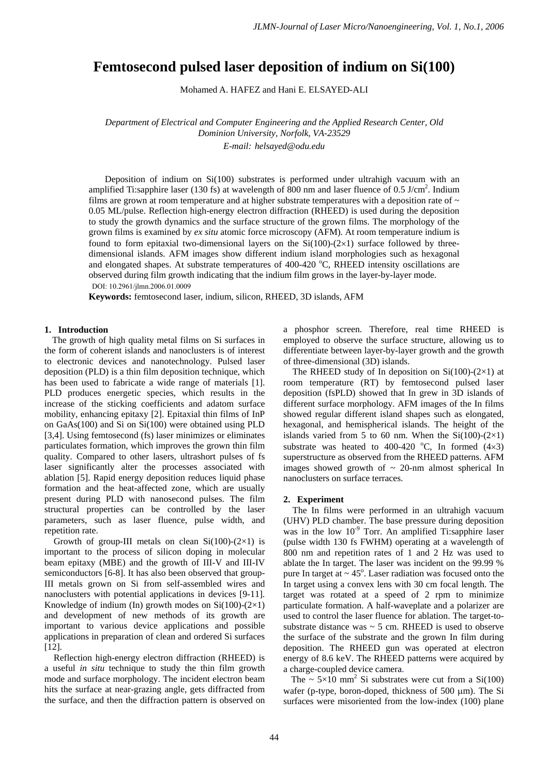# **Femtosecond pulsed laser deposition of indium on Si(100)**

Mohamed A. HAFEZ and Hani E. ELSAYED-ALI

*Department of Electrical and Computer Engineering and the Applied Research Center, Old Dominion University, Norfolk, VA-23529 E-mail: helsayed@odu.edu*

Deposition of indium on Si(100) substrates is performed under ultrahigh vacuum with an amplified Ti:sapphire laser (130 fs) at wavelength of 800 nm and laser fluence of 0.5 J/cm<sup>2</sup>. Indium films are grown at room temperature and at higher substrate temperatures with a deposition rate of  $\sim$ 0.05 ML/pulse. Reflection high-energy electron diffraction (RHEED) is used during the deposition to study the growth dynamics and the surface structure of the grown films. The morphology of the grown films is examined by *ex situ* atomic force microscopy (AFM). At room temperature indium is found to form epitaxial two-dimensional layers on the  $Si(100)-(2\times1)$  surface followed by threedimensional islands. AFM images show different indium island morphologies such as hexagonal and elongated shapes. At substrate temperatures of 400-420 °C, RHEED intensity oscillations are observed during film growth indicating that the indium film grows in the layer-by-layer mode. DOI: 10.2961/jlmn.2006.01.0009

**Keywords:** femtosecond laser, indium, silicon, RHEED, 3D islands, AFM

### **1. Introduction**

The growth of high quality metal films on Si surfaces in the form of coherent islands and nanoclusters is of interest to electronic devices and nanotechnology. Pulsed laser deposition (PLD) is a thin film deposition technique, which has been used to fabricate a wide range of materials [1]. PLD produces energetic species, which results in the increase of the sticking coefficients and adatom surface mobility, enhancing epitaxy [2]. Epitaxial thin films of InP on GaAs(100) and Si on Si(100) were obtained using PLD [3,4]. Using femtosecond (fs) laser minimizes or eliminates particulates formation, which improves the grown thin film quality. Compared to other lasers, ultrashort pulses of fs laser significantly alter the processes associated with ablation [5]. Rapid energy deposition reduces liquid phase formation and the heat-affected zone, which are usually present during PLD with nanosecond pulses. The film structural properties can be controlled by the laser parameters, such as laser fluence, pulse width, and repetition rate.

Growth of group-III metals on clean  $Si(100)-(2\times1)$  is important to the process of silicon doping in molecular beam epitaxy (MBE) and the growth of III-V and III-IV semiconductors [6-8]. It has also been observed that group-III metals grown on Si from self-assembled wires and nanoclusters with potential applications in devices [9-11]. Knowledge of indium (In) growth modes on  $Si(100)-(2\times1)$ and development of new methods of its growth are important to various device applications and possible applications in preparation of clean and ordered Si surfaces [12].

 Reflection high-energy electron diffraction (RHEED) is a useful *in situ* technique to study the thin film growth mode and surface morphology. The incident electron beam hits the surface at near-grazing angle, gets diffracted from the surface, and then the diffraction pattern is observed on

a phosphor screen. Therefore, real time RHEED is employed to observe the surface structure, allowing us to differentiate between layer-by-layer growth and the growth of three-dimensional (3D) islands.

The RHEED study of In deposition on  $Si(100)-(2\times1)$  at room temperature (RT) by femtosecond pulsed laser deposition (fsPLD) showed that In grew in 3D islands of different surface morphology. AFM images of the In films showed regular different island shapes such as elongated, hexagonal, and hemispherical islands. The height of the islands varied from 5 to 60 nm. When the  $Si(100)-(2\times1)$ substrate was heated to 400-420  $^{\circ}$ C, In formed (4×3) superstructure as observed from the RHEED patterns. AFM images showed growth of  $\sim$  20-nm almost spherical In nanoclusters on surface terraces.

#### **2. Experiment**

 The In films were performed in an ultrahigh vacuum (UHV) PLD chamber. The base pressure during deposition was in the low  $10^{-9}$  Torr. An amplified Ti:sapphire laser (pulse width 130 fs FWHM) operating at a wavelength of 800 nm and repetition rates of 1 and 2 Hz was used to ablate the In target. The laser was incident on the 99.99 % pure In target at  $\sim 45^\circ$ . Laser radiation was focused onto the In target using a convex lens with 30 cm focal length. The target was rotated at a speed of 2 rpm to minimize particulate formation. A half-waveplate and a polarizer are used to control the laser fluence for ablation. The target-tosubstrate distance was  $\sim$  5 cm. RHEED is used to observe the surface of the substrate and the grown In film during deposition. The RHEED gun was operated at electron energy of 8.6 keV. The RHEED patterns were acquired by a charge-coupled device camera.

The  $\sim 5 \times 10$  mm<sup>2</sup> Si substrates were cut from a Si(100) wafer (p-type, boron-doped, thickness of 500 µm). The Si surfaces were misoriented from the low-index (100) plane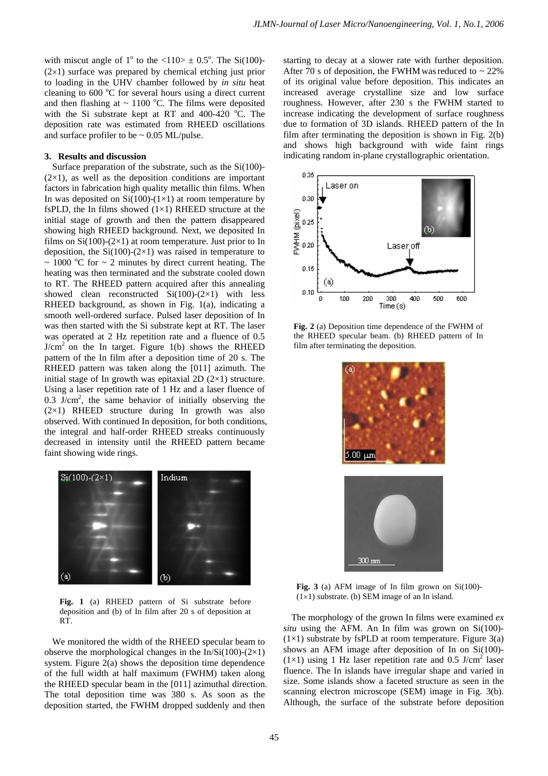with miscut angle of  $1^{\circ}$  to the  $\langle 110 \rangle \pm 0.5^{\circ}$ . The Si(100)- $(2\times1)$  surface was prepared by chemical etching just prior to loading in the UHV chamber followed by *in situ* heat cleaning to 600 °C for several hours using a direct current and then flashing at  $\sim 1100$  °C. The films were deposited with the Si substrate kept at RT and  $400-420$  °C. The deposition rate was estimated from RHEED oscillations and surface profiler to be  $\sim 0.05$  ML/pulse.

### **3. Results and discussion**

Surface preparation of the substrate, such as the Si(100)-  $(2\times1)$ , as well as the deposition conditions are important factors in fabrication high quality metallic thin films. When In was deposited on  $Si(100)-(1\times1)$  at room temperature by fsPLD, the In films showed  $(1\times1)$  RHEED structure at the initial stage of growth and then the pattern disappeared showing high RHEED background. Next, we deposited In films on  $Si(100)$ - $(2\times1)$  at room temperature. Just prior to In deposition, the  $Si(100)-(2\times1)$  was raised in temperature to  $\sim 1000$  °C for  $\sim 2$  minutes by direct current heating. The heating was then terminated and the substrate cooled down to RT. The RHEED pattern acquired after this annealing showed clean reconstructed  $Si(100)-(2\times1)$  with less RHEED background, as shown in Fig. 1(a), indicating a smooth well-ordered surface. Pulsed laser deposition of In was then started with the Si substrate kept at RT. The laser was operated at 2 Hz repetition rate and a fluence of 0.5  $J/cm<sup>2</sup>$  on the In target. Figure 1(b) shows the RHEED pattern of the In film after a deposition time of 20 s. The RHEED pattern was taken along the [011] azimuth. The initial stage of In growth was epitaxial 2D  $(2\times1)$  structure. Using a laser repetition rate of 1 Hz and a laser fluence of  $0.3$  J/cm<sup>2</sup>, the same behavior of initially observing the  $(2\times1)$  RHEED structure during In growth was also observed. With continued In deposition, for both conditions, the integral and half-order RHEED streaks continuously decreased in intensity until the RHEED pattern became faint showing wide rings.



Fig. 1 (a) RHEED pattern of Si substrate before deposition and (b) of In film after 20 s of deposition at RT.

We monitored the width of the RHEED specular beam to observe the morphological changes in the In/Si(100)-(2 $\times$ 1) system. Figure 2(a) shows the deposition time dependence of the full width at half maximum (FWHM) taken along the RHEED specular beam in the [011] azimuthal direction. The total deposition time was 380 s. As soon as the deposition started, the FWHM dropped suddenly and then

starting to decay at a slower rate with further deposition. After 70 s of deposition, the FWHM was reduced to  $\sim$  22% of its original value before deposition. This indicates an increased average crystalline size and low surface roughness. However, after 230 s the FWHM started to increase indicating the development of surface roughness due to formation of 3D islands. RHEED pattern of the In film after terminating the deposition is shown in Fig. 2(b) and shows high background with wide faint rings indicating random in-plane crystallographic orientation.



**Fig. 2** (a) Deposition time dependence of the FWHM of the RHEED specular beam. (b) RHEED pattern of In film after terminating the deposition.



**Fig. 3** (a) AFM image of In film grown on Si(100)-  $(1\times1)$  substrate. (b) SEM image of an In island.

The morphology of the grown In films were examined *ex situ* using the AFM. An In film was grown on Si(100)-  $(1\times1)$  substrate by fsPLD at room temperature. Figure 3(a) shows an AFM image after deposition of In on Si(100)-  $(1\times1)$  using 1 Hz laser repetition rate and 0.5 J/cm<sup>2</sup> laser fluence. The In islands have irregular shape and varied in size. Some islands show a faceted structure as seen in the scanning electron microscope (SEM) image in Fig. 3(b). Although, the surface of the substrate before deposition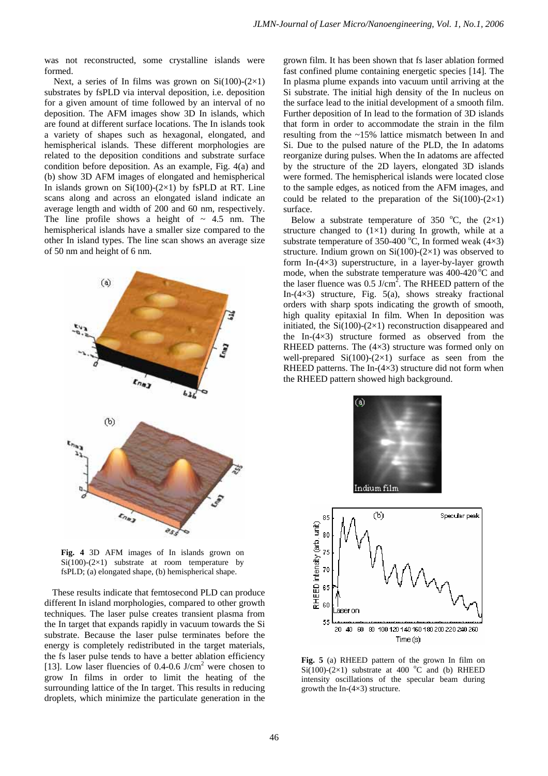was not reconstructed, some crystalline islands were formed.

Next, a series of In films was grown on  $Si(100)-(2\times1)$ substrates by fsPLD via interval deposition, i.e. deposition for a given amount of time followed by an interval of no deposition. The AFM images show 3D In islands, which are found at different surface locations. The In islands took a variety of shapes such as hexagonal, elongated, and hemispherical islands. These different morphologies are related to the deposition conditions and substrate surface condition before deposition. As an example, Fig. 4(a) and (b) show 3D AFM images of elongated and hemispherical In islands grown on  $Si(100)-(2\times1)$  by fsPLD at RT. Line scans along and across an elongated island indicate an average length and width of 200 and 60 nm, respectively. The line profile shows a height of  $\sim$  4.5 nm. The hemispherical islands have a smaller size compared to the other In island types. The line scan shows an average size of 50 nm and height of 6 nm.



**Fig. 4** 3D AFM images of In islands grown on  $Si(100)-(2\times1)$  substrate at room temperature by fsPLD; (a) elongated shape, (b) hemispherical shape.

These results indicate that femtosecond PLD can produce different In island morphologies, compared to other growth techniques. The laser pulse creates transient plasma from the In target that expands rapidly in vacuum towards the Si substrate. Because the laser pulse terminates before the energy is completely redistributed in the target materials, the fs laser pulse tends to have a better ablation efficiency [13]. Low laser fluencies of 0.4-0.6 J/cm<sup>2</sup> were chosen to grow In films in order to limit the heating of the surrounding lattice of the In target. This results in reducing droplets, which minimize the particulate generation in the grown film. It has been shown that fs laser ablation formed fast confined plume containing energetic species [14]. The In plasma plume expands into vacuum until arriving at the Si substrate. The initial high density of the In nucleus on the surface lead to the initial development of a smooth film. Further deposition of In lead to the formation of 3D islands that form in order to accommodate the strain in the film resulting from the ~15% lattice mismatch between In and Si. Due to the pulsed nature of the PLD, the In adatoms reorganize during pulses. When the In adatoms are affected by the structure of the 2D layers, elongated 3D islands were formed. The hemispherical islands were located close to the sample edges, as noticed from the AFM images, and could be related to the preparation of the  $Si(100)-(2\times1)$ surface.

Below a substrate temperature of 350  $^{\circ}$ C, the (2×1) structure changed to  $(1\times1)$  during In growth, while at a substrate temperature of 350-400  $^{\circ}$ C, In formed weak (4×3) structure. Indium grown on  $Si(100)-(2\times1)$  was observed to form In-(4×3) superstructure, in a layer-by-layer growth mode, when the substrate temperature was  $400-420^{\circ}$ C and the laser fluence was  $0.5 \text{ J/cm}^2$ . The RHEED pattern of the In- $(4\times3)$  structure, Fig. 5(a), shows streaky fractional orders with sharp spots indicating the growth of smooth, high quality epitaxial In film. When In deposition was initiated, the  $Si(100)-(2\times1)$  reconstruction disappeared and the In- $(4\times3)$  structure formed as observed from the RHEED patterns. The  $(4\times3)$  structure was formed only on well-prepared  $Si(100)-(2\times1)$  surface as seen from the RHEED patterns. The In- $(4\times3)$  structure did not form when the RHEED pattern showed high background.





**Fig. 5** (a) RHEED pattern of the grown In film on  $Si(100)-(2\times1)$  substrate at 400 °C and (b) RHEED intensity oscillations of the specular beam during growth the In-(4×3) structure.